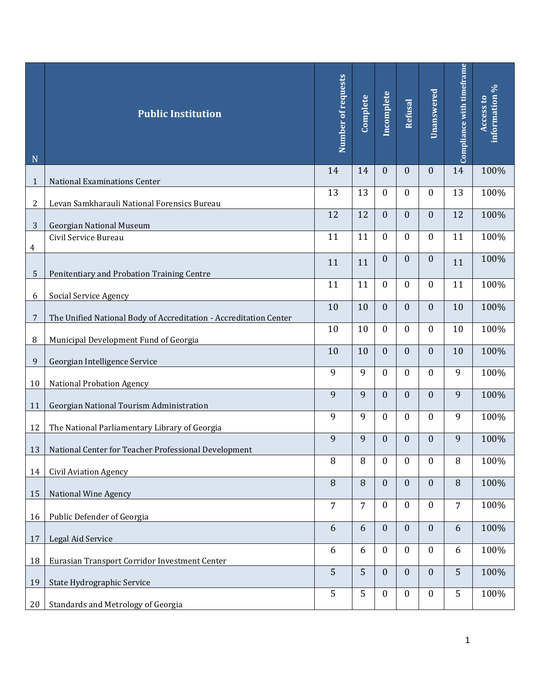| N            | <b>Public Institution</b>                                                                  | Number of requests | Complete | Incomplete       | Refusal          | Unanswered       | Compliance with timeframe | information %<br>Access to |
|--------------|--------------------------------------------------------------------------------------------|--------------------|----------|------------------|------------------|------------------|---------------------------|----------------------------|
| $\mathbf{1}$ | <b>National Examinations Center</b>                                                        | 14                 | 14       | $\mathbf{0}$     | $\boldsymbol{0}$ | $\mathbf{0}$     | 14                        | 100%                       |
| 2            | Levan Samkharauli National Forensics Bureau                                                | 13                 | 13       | $\mathbf{0}$     | 0                | $\mathbf{0}$     | 13                        | 100%                       |
| 3            | <b>Georgian National Museum</b>                                                            | 12                 | 12       | $\boldsymbol{0}$ | $\overline{0}$   | $\mathbf{0}$     | 12                        | 100%                       |
| 4            | Civil Service Bureau                                                                       | 11                 | 11       | $\boldsymbol{0}$ | $\boldsymbol{0}$ | $\boldsymbol{0}$ | 11                        | 100%                       |
| 5            | Penitentiary and Probation Training Centre                                                 | 11                 | 11       | $\mathbf{0}$     | $\boldsymbol{0}$ | $\mathbf{0}$     | 11                        | 100%                       |
|              |                                                                                            | 11                 | 11       | $\mathbf{0}$     | $\mathbf{0}$     | $\mathbf{0}$     | 11                        | 100%                       |
| 6<br>7       | Social Service Agency<br>The Unified National Body of Accreditation - Accreditation Center | 10                 | 10       | $\mathbf{0}$     | $\overline{0}$   | $\mathbf{0}$     | 10                        | 100%                       |
| 8            | Municipal Development Fund of Georgia                                                      | 10                 | 10       | $\mathbf{0}$     | $\boldsymbol{0}$ | $\mathbf{0}$     | 10                        | 100%                       |
| 9            | Georgian Intelligence Service                                                              | 10                 | 10       | $\mathbf{0}$     | $\overline{0}$   | $\mathbf{0}$     | 10                        | 100%                       |
| 10           | National Probation Agency                                                                  | 9                  | 9        | $\boldsymbol{0}$ | $\boldsymbol{0}$ | $\boldsymbol{0}$ | 9                         | 100%                       |
| 11           | Georgian National Tourism Administration                                                   | 9                  | 9        | $\mathbf{0}$     | $\boldsymbol{0}$ | $\mathbf{0}$     | 9                         | 100%                       |
| 12           | The National Parliamentary Library of Georgia                                              | 9                  | 9        | $\mathbf{0}$     | 0                | $\boldsymbol{0}$ | 9                         | 100%                       |
|              | 13   National Center for Teacher Professional Development                                  | 9                  | 9        | $\mathbf{0}$     | $\boldsymbol{0}$ | $\mathbf{0}$     | 9                         | 100%                       |
| 14           | <b>Civil Aviation Agency</b>                                                               | 8                  | 8        | $\boldsymbol{0}$ | $\boldsymbol{0}$ | $\boldsymbol{0}$ | 8                         | 100%                       |
| 15           | National Wine Agency                                                                       | 8                  | 8        | $\boldsymbol{0}$ | $\boldsymbol{0}$ | $\mathbf{0}$     | 8                         | 100%                       |
| 16           | Public Defender of Georgia                                                                 | $\overline{7}$     | 7        | $\boldsymbol{0}$ | $\boldsymbol{0}$ | $\boldsymbol{0}$ | 7                         | 100%                       |
| 17           | Legal Aid Service                                                                          | 6                  | 6        | $\boldsymbol{0}$ | $\boldsymbol{0}$ | $\mathbf{0}$     | 6                         | 100%                       |
| 18           | Eurasian Transport Corridor Investment Center                                              | 6                  | 6        | $\mathbf{0}$     | $\boldsymbol{0}$ | $\boldsymbol{0}$ | 6                         | 100%                       |
| 19           | State Hydrographic Service                                                                 | 5                  | 5        | $\boldsymbol{0}$ | $\boldsymbol{0}$ | $\boldsymbol{0}$ | 5                         | 100%                       |
| 20           | Standards and Metrology of Georgia                                                         | 5                  | 5        | $\boldsymbol{0}$ | $\boldsymbol{0}$ | $\boldsymbol{0}$ | 5                         | 100%                       |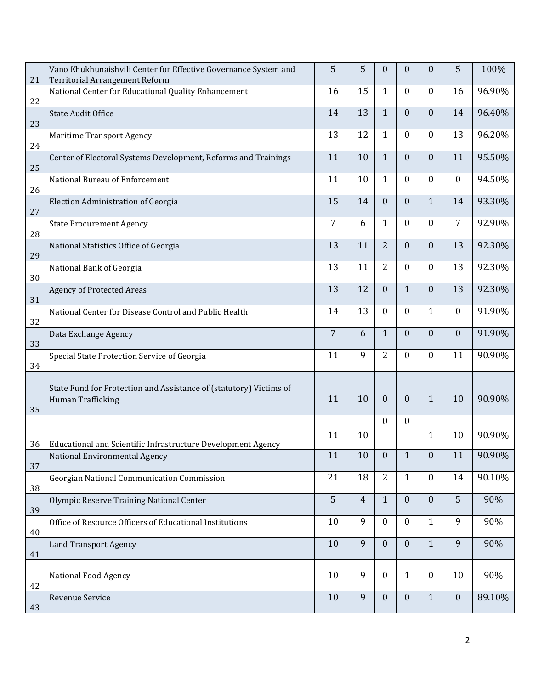| 21 | Vano Khukhunaishvili Center for Effective Governance System and<br><b>Territorial Arrangement Reform</b> | 5              | 5              | $\theta$         | $\boldsymbol{0}$ | 0                | 5                | 100%   |
|----|----------------------------------------------------------------------------------------------------------|----------------|----------------|------------------|------------------|------------------|------------------|--------|
| 22 | National Center for Educational Quality Enhancement                                                      | 16             | 15             | $\mathbf{1}$     | $\mathbf{0}$     | 0                | 16               | 96.90% |
| 23 | <b>State Audit Office</b>                                                                                | 14             | 13             | $\mathbf{1}$     | $\boldsymbol{0}$ | $\boldsymbol{0}$ | 14               | 96.40% |
| 24 | <b>Maritime Transport Agency</b>                                                                         | 13             | 12             | $\mathbf{1}$     | $\boldsymbol{0}$ | 0                | 13               | 96.20% |
| 25 | Center of Electoral Systems Development, Reforms and Trainings                                           | 11             | 10             | $\mathbf{1}$     | $\boldsymbol{0}$ | $\boldsymbol{0}$ | 11               | 95.50% |
| 26 | National Bureau of Enforcement                                                                           | 11             | 10             | $\mathbf{1}$     | $\boldsymbol{0}$ | $\boldsymbol{0}$ | $\boldsymbol{0}$ | 94.50% |
| 27 | Election Administration of Georgia                                                                       | 15             | 14             | $\theta$         | $\boldsymbol{0}$ | $\mathbf{1}$     | 14               | 93.30% |
| 28 | <b>State Procurement Agency</b>                                                                          | 7              | 6              | $\mathbf{1}$     | $\boldsymbol{0}$ | 0                | $\overline{7}$   | 92.90% |
| 29 | National Statistics Office of Georgia                                                                    | 13             | 11             | $\overline{2}$   | $\boldsymbol{0}$ | $\boldsymbol{0}$ | 13               | 92.30% |
| 30 | National Bank of Georgia                                                                                 | 13             | 11             | 2                | $\boldsymbol{0}$ | $\mathbf{0}$     | 13               | 92.30% |
| 31 | <b>Agency of Protected Areas</b>                                                                         | 13             | 12             | $\boldsymbol{0}$ | $\mathbf{1}$     | $\boldsymbol{0}$ | 13               | 92.30% |
| 32 | National Center for Disease Control and Public Health                                                    | 14             | 13             | $\boldsymbol{0}$ | $\boldsymbol{0}$ | $\mathbf{1}$     | $\boldsymbol{0}$ | 91.90% |
| 33 | Data Exchange Agency                                                                                     | $\overline{7}$ | 6              | $\mathbf{1}$     | $\boldsymbol{0}$ | 0                | $\boldsymbol{0}$ | 91.90% |
| 34 | Special State Protection Service of Georgia                                                              | 11             | 9              | 2                | $\boldsymbol{0}$ | 0                | 11               | 90.90% |
| 35 | State Fund for Protection and Assistance of (statutory) Victims of<br>Human Trafficking                  | 11             | 10             | $\boldsymbol{0}$ | $\boldsymbol{0}$ | $\mathbf{1}$     | 10               | 90.90% |
|    |                                                                                                          | 11             | 10             | $\mathbf{0}$     | $\boldsymbol{0}$ |                  | 10               | 90.90% |
| 36 | Educational and Scientific Infrastructure Development Agency                                             |                |                |                  |                  | $\mathbf{1}$     |                  |        |
| 37 | National Environmental Agency                                                                            | 11             | 10             | $\boldsymbol{0}$ | $\mathbf{1}$     | $\mathbf{0}$     | 11               | 90.90% |
| 38 | Georgian National Communication Commission                                                               | 21             | 18             | $\overline{2}$   | $\mathbf{1}$     | $\mathbf{0}$     | 14               | 90.10% |
| 39 | Olympic Reserve Training National Center                                                                 | 5              | $\overline{4}$ | $\mathbf{1}$     | $\boldsymbol{0}$ | $\mathbf{0}$     | 5                | 90%    |
| 40 | Office of Resource Officers of Educational Institutions                                                  | 10             | 9              | $\mathbf{0}$     | $\boldsymbol{0}$ | $\mathbf{1}$     | 9                | 90%    |
| 41 | <b>Land Transport Agency</b>                                                                             | 10             | 9              | $\mathbf{0}$     | $\boldsymbol{0}$ | $\mathbf{1}$     | 9                | 90%    |
| 42 | <b>National Food Agency</b>                                                                              | 10             | 9              | $\boldsymbol{0}$ | $\mathbf{1}$     | $\bf{0}$         | 10               | 90%    |
| 43 | Revenue Service                                                                                          | 10             | 9              | $\mathbf{0}$     | $\boldsymbol{0}$ | $\mathbf{1}$     | $\mathbf{0}$     | 89.10% |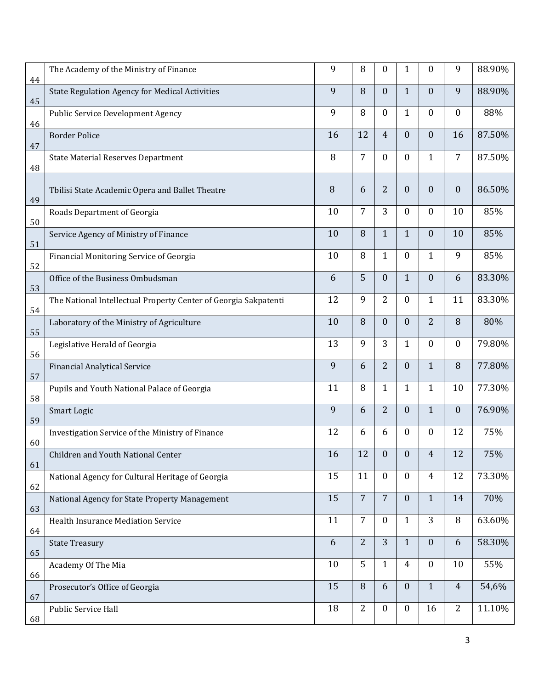| 44 | The Academy of the Ministry of Finance                          | 9  | 8              | $\boldsymbol{0}$ | $\mathbf{1}$     | 0                | 9                | 88.90% |
|----|-----------------------------------------------------------------|----|----------------|------------------|------------------|------------------|------------------|--------|
| 45 | <b>State Regulation Agency for Medical Activities</b>           | 9  | 8              | $\boldsymbol{0}$ | $\mathbf{1}$     | $\boldsymbol{0}$ | 9                | 88.90% |
| 46 | <b>Public Service Development Agency</b>                        | 9  | 8              | $\boldsymbol{0}$ | $\mathbf{1}$     | 0                | $\boldsymbol{0}$ | 88%    |
| 47 | <b>Border Police</b>                                            | 16 | 12             | $\overline{4}$   | $\boldsymbol{0}$ | $\boldsymbol{0}$ | 16               | 87.50% |
| 48 | <b>State Material Reserves Department</b>                       | 8  | 7              | $\boldsymbol{0}$ | $\boldsymbol{0}$ | $\mathbf{1}$     | 7                | 87.50% |
| 49 | Tbilisi State Academic Opera and Ballet Theatre                 | 8  | 6              | 2                | $\boldsymbol{0}$ | $\boldsymbol{0}$ | $\boldsymbol{0}$ | 86.50% |
| 50 | Roads Department of Georgia                                     | 10 | 7              | 3                | $\boldsymbol{0}$ | 0                | 10               | 85%    |
| 51 | Service Agency of Ministry of Finance                           | 10 | 8              | $\mathbf{1}$     | $\mathbf{1}$     | $\boldsymbol{0}$ | 10               | 85%    |
| 52 | Financial Monitoring Service of Georgia                         | 10 | 8              | $\mathbf{1}$     | $\boldsymbol{0}$ | $\mathbf{1}$     | 9                | 85%    |
| 53 | Office of the Business Ombudsman                                | 6  | 5              | $\boldsymbol{0}$ | $\mathbf{1}$     | $\boldsymbol{0}$ | 6                | 83.30% |
| 54 | The National Intellectual Property Center of Georgia Sakpatenti | 12 | 9              | 2                | $\boldsymbol{0}$ | $\mathbf{1}$     | 11               | 83.30% |
| 55 | Laboratory of the Ministry of Agriculture                       | 10 | 8              | $\boldsymbol{0}$ | $\boldsymbol{0}$ | $\overline{2}$   | 8                | 80%    |
| 56 | Legislative Herald of Georgia                                   | 13 | 9              | 3                | $\mathbf{1}$     | 0                | $\boldsymbol{0}$ | 79.80% |
| 57 | <b>Financial Analytical Service</b>                             | 9  | 6              | $\overline{2}$   | $\boldsymbol{0}$ | $\mathbf{1}$     | $\, 8$           | 77.80% |
| 58 | Pupils and Youth National Palace of Georgia                     | 11 | 8              | $\mathbf{1}$     | $\mathbf{1}$     | $\mathbf{1}$     | 10               | 77.30% |
| 59 | Smart Logic                                                     | 9  | 6              | $\overline{2}$   | $\boldsymbol{0}$ | $\mathbf{1}$     | $\boldsymbol{0}$ | 76.90% |
| 60 | Investigation Service of the Ministry of Finance                | 12 | 6              | 6                | $\boldsymbol{0}$ | 0                | 12               | 75%    |
| 61 | Children and Youth National Center                              | 16 | 12             | $\mathbf{0}$     | $\boldsymbol{0}$ | 4                | 12               | 75%    |
| 62 | National Agency for Cultural Heritage of Georgia                | 15 | 11             | $\mathbf{0}$     | $\boldsymbol{0}$ | $\overline{4}$   | 12               | 73.30% |
| 63 | National Agency for State Property Management                   | 15 | $\overline{7}$ | $\overline{7}$   | $\boldsymbol{0}$ | $\mathbf{1}$     | 14               | 70%    |
| 64 | Health Insurance Mediation Service                              | 11 | $\overline{7}$ | $\mathbf{0}$     | $\mathbf{1}$     | 3                | $\, 8$           | 63.60% |
| 65 | <b>State Treasury</b>                                           | 6  | $\overline{2}$ | 3                | $\mathbf{1}$     | $\boldsymbol{0}$ | 6                | 58.30% |
| 66 | Academy Of The Mia                                              | 10 | 5              | $\mathbf{1}$     | $\overline{4}$   | $\mathbf{0}$     | 10               | 55%    |
| 67 | Prosecutor's Office of Georgia                                  | 15 | 8              | 6                | $\boldsymbol{0}$ | $\mathbf{1}$     | $\overline{4}$   | 54,6%  |
| 68 | Public Service Hall                                             | 18 | $\overline{2}$ | $\boldsymbol{0}$ | $\boldsymbol{0}$ | 16               | $\overline{2}$   | 11.10% |